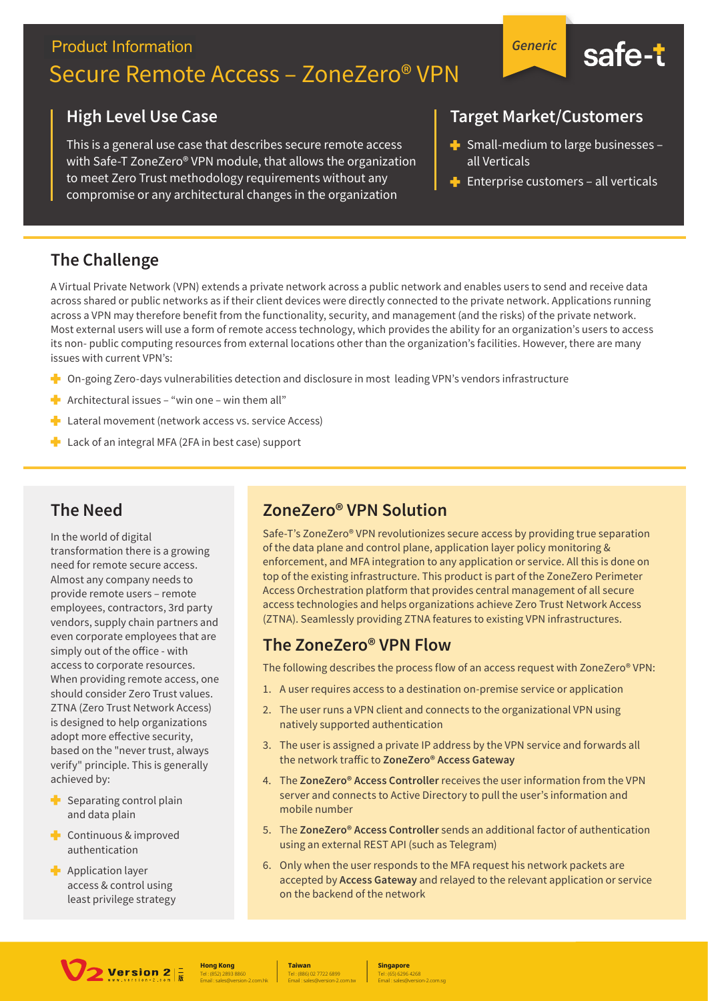## **Product Information** Secure Remote Access – ZoneZero® VPN



This is a general use case that describes secure remote access with Safe-T ZoneZero® VPN module, that allows the organization to meet Zero Trust methodology requirements without any compromise or any architectural changes in the organization

#### **Target Market/Customers**

*Generic*

 $\blacktriangleright$  Small-medium to large businesses – all Verticals

safe-t

 $\blacktriangleright$  Enterprise customers – all verticals

#### **The Challenge**

A Virtual Private Network (VPN) extends a private network across a public network and enables users to send and receive data across shared or public networks as if their client devices were directly connected to the private network. Applications running across a VPN may therefore benefit from the functionality, security, and management (and the risks) of the private network. Most external users will use a form of remote access technology, which provides the ability for an organization's users to access its non- public computing resources from external locations other than the organization's facilities. However, there are many issues with current VPN's:

- **Demography** On-going Zero-days vulnerabilities detection and disclosure in most leading VPN's vendors infrastructure
- **Architectural issues "win one win them all"**
- **Lateral movement (network access vs. service Access)**
- **Lack of an integral MFA (2FA in best case) support**

#### **The Need**

In the world of digital transformation there is a growing need for remote secure access. Almost any company needs to provide remote users – remote employees, contractors, 3rd party vendors, supply chain partners and even corporate employees that are simply out of the office - with access to corporate resources. When providing remote access, one should consider Zero Trust values. ZTNA (Zero Trust Network Access) is designed to help organizations adopt more effective security, based on the "never trust, always verify" principle. This is generally achieved by:

- Separating control plain ٠ and data plain
- **Continuous & improved** authentication
- $\blacksquare$  Application layer access & control using least privilege strategy

#### **ZoneZero® VPN Solution**

Safe-T's ZoneZero® VPN revolutionizes secure access by providing true separation of the data plane and control plane, application layer policy monitoring & enforcement, and MFA integration to any application or service. All this is done on top of the existing infrastructure. This product is part of the ZoneZero Perimeter Access Orchestration platform that provides central management of all secure access technologies and helps organizations achieve Zero Trust Network Access (ZTNA). Seamlessly providing ZTNA features to existing VPN infrastructures.

#### **The ZoneZero® VPN Flow**

The following describes the process flow of an access request with ZoneZero® VPN:

- 1. A user requires access to a destination on-premise service or application
- 2. The user runs a VPN client and connects to the organizational VPN using natively supported authentication
- 3. The user is assigned a private IP address by the VPN service and forwards all the network traffic to ZoneZero<sup>®</sup> Access Gateway
- 4. The **ZoneZero® Access Controller** receives the user information from the VPN server and connects to Active Directory to pull the user's information and mobile number
- 5. The **ZoneZero® Access Controller** sends an additional factor of authentication using an external REST API (such as Telegram)
- 6. Only when the user responds to the MFA request his network packets are accepted by **Access Gateway** and relayed to the relevant application or service on the backend of the network



Tel : (852) 2893 8860 **Hong Kong** Email : sales@version-2.com.hk

Tel : (886) 02 7722 6899 **Taiwan** Email : sales@version-2.com.tw

Tel : (65) 6296 4268 **Singapore** Email : sales@version-2.com.sg